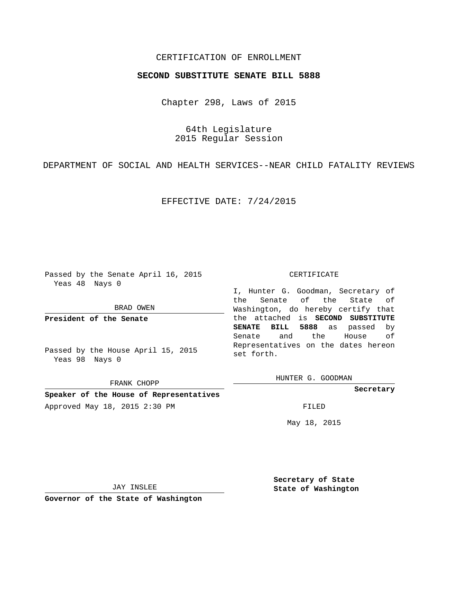## CERTIFICATION OF ENROLLMENT

## **SECOND SUBSTITUTE SENATE BILL 5888**

Chapter 298, Laws of 2015

64th Legislature 2015 Regular Session

DEPARTMENT OF SOCIAL AND HEALTH SERVICES--NEAR CHILD FATALITY REVIEWS

EFFECTIVE DATE: 7/24/2015

Passed by the Senate April 16, 2015 Yeas 48 Nays 0

BRAD OWEN

**President of the Senate**

Passed by the House April 15, 2015 Yeas 98 Nays 0

FRANK CHOPP

**Speaker of the House of Representatives** Approved May 18, 2015 2:30 PM FILED

#### CERTIFICATE

I, Hunter G. Goodman, Secretary of the Senate of the State of Washington, do hereby certify that the attached is **SECOND SUBSTITUTE SENATE BILL 5888** as passed by Senate and the House of Representatives on the dates hereon set forth.

HUNTER G. GOODMAN

**Secretary**

May 18, 2015

JAY INSLEE

**Governor of the State of Washington**

**Secretary of State State of Washington**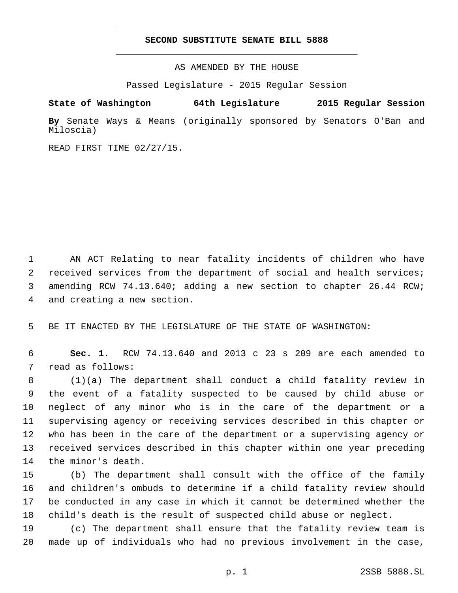## **SECOND SUBSTITUTE SENATE BILL 5888**

AS AMENDED BY THE HOUSE

Passed Legislature - 2015 Regular Session

# **State of Washington 64th Legislature 2015 Regular Session**

**By** Senate Ways & Means (originally sponsored by Senators O'Ban and Miloscia)

READ FIRST TIME 02/27/15.

 AN ACT Relating to near fatality incidents of children who have received services from the department of social and health services; amending RCW 74.13.640; adding a new section to chapter 26.44 RCW; 4 and creating a new section.

BE IT ENACTED BY THE LEGISLATURE OF THE STATE OF WASHINGTON:

 **Sec. 1.** RCW 74.13.640 and 2013 c 23 s 209 are each amended to 7 read as follows:

 (1)(a) The department shall conduct a child fatality review in the event of a fatality suspected to be caused by child abuse or neglect of any minor who is in the care of the department or a supervising agency or receiving services described in this chapter or who has been in the care of the department or a supervising agency or received services described in this chapter within one year preceding 14 the minor's death.

 (b) The department shall consult with the office of the family and children's ombuds to determine if a child fatality review should be conducted in any case in which it cannot be determined whether the child's death is the result of suspected child abuse or neglect.

 (c) The department shall ensure that the fatality review team is made up of individuals who had no previous involvement in the case,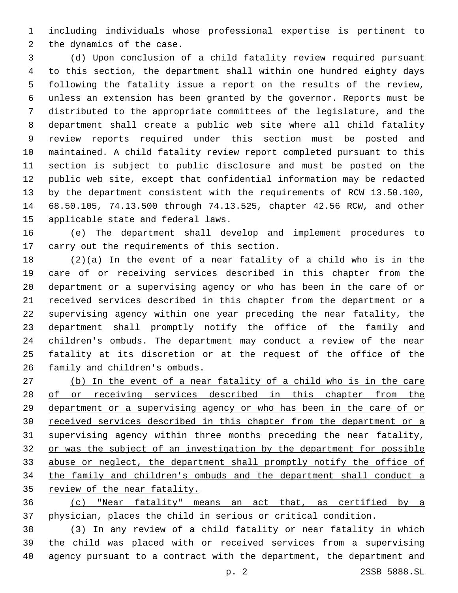including individuals whose professional expertise is pertinent to 2 the dynamics of the case.

 (d) Upon conclusion of a child fatality review required pursuant to this section, the department shall within one hundred eighty days following the fatality issue a report on the results of the review, unless an extension has been granted by the governor. Reports must be distributed to the appropriate committees of the legislature, and the department shall create a public web site where all child fatality review reports required under this section must be posted and maintained. A child fatality review report completed pursuant to this section is subject to public disclosure and must be posted on the public web site, except that confidential information may be redacted by the department consistent with the requirements of RCW 13.50.100, 68.50.105, 74.13.500 through 74.13.525, chapter 42.56 RCW, and other 15 applicable state and federal laws.

 (e) The department shall develop and implement procedures to 17 carry out the requirements of this section.

 (2)(a) In the event of a near fatality of a child who is in the care of or receiving services described in this chapter from the department or a supervising agency or who has been in the care of or received services described in this chapter from the department or a supervising agency within one year preceding the near fatality, the department shall promptly notify the office of the family and children's ombuds. The department may conduct a review of the near fatality at its discretion or at the request of the office of the 26 family and children's ombuds.

 (b) In the event of a near fatality of a child who is in the care 28 of or receiving services described in this chapter from the department or a supervising agency or who has been in the care of or received services described in this chapter from the department or a supervising agency within three months preceding the near fatality, or was the subject of an investigation by the department for possible abuse or neglect, the department shall promptly notify the office of the family and children's ombuds and the department shall conduct a review of the near fatality.

 (c) "Near fatality" means an act that, as certified by a physician, places the child in serious or critical condition.

 (3) In any review of a child fatality or near fatality in which the child was placed with or received services from a supervising agency pursuant to a contract with the department, the department and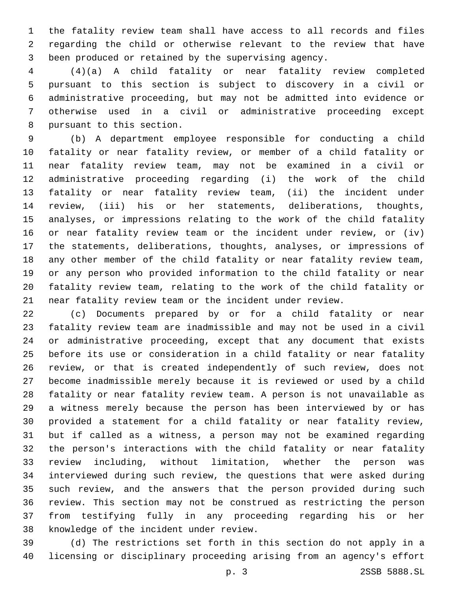the fatality review team shall have access to all records and files regarding the child or otherwise relevant to the review that have been produced or retained by the supervising agency.

 (4)(a) A child fatality or near fatality review completed pursuant to this section is subject to discovery in a civil or administrative proceeding, but may not be admitted into evidence or otherwise used in a civil or administrative proceeding except 8 pursuant to this section.

 (b) A department employee responsible for conducting a child fatality or near fatality review, or member of a child fatality or near fatality review team, may not be examined in a civil or administrative proceeding regarding (i) the work of the child fatality or near fatality review team, (ii) the incident under review, (iii) his or her statements, deliberations, thoughts, analyses, or impressions relating to the work of the child fatality or near fatality review team or the incident under review, or (iv) the statements, deliberations, thoughts, analyses, or impressions of any other member of the child fatality or near fatality review team, or any person who provided information to the child fatality or near fatality review team, relating to the work of the child fatality or near fatality review team or the incident under review.

 (c) Documents prepared by or for a child fatality or near fatality review team are inadmissible and may not be used in a civil or administrative proceeding, except that any document that exists before its use or consideration in a child fatality or near fatality review, or that is created independently of such review, does not become inadmissible merely because it is reviewed or used by a child fatality or near fatality review team. A person is not unavailable as a witness merely because the person has been interviewed by or has provided a statement for a child fatality or near fatality review, but if called as a witness, a person may not be examined regarding the person's interactions with the child fatality or near fatality review including, without limitation, whether the person was interviewed during such review, the questions that were asked during such review, and the answers that the person provided during such review. This section may not be construed as restricting the person from testifying fully in any proceeding regarding his or her 38 knowledge of the incident under review.

 (d) The restrictions set forth in this section do not apply in a licensing or disciplinary proceeding arising from an agency's effort